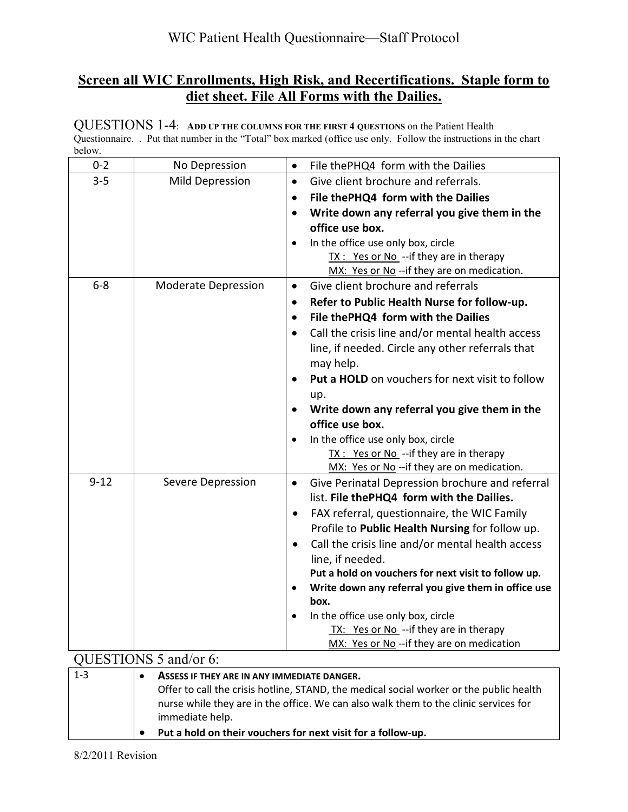## **Screen all WIC Enrollments, High Risk, and Recertifications. Staple form to diet sheet. File All Forms with the Dailies.**

QUESTIONS 1-4: **ADD UP THE COLUMNS FOR THE FIRST 4 QUESTIONS** on the Patient Health Questionnaire. . Put that number in the "Total" box marked (office use only. Follow the instructions in the chart below.

| UUU W.                |                                             |                                                                  |
|-----------------------|---------------------------------------------|------------------------------------------------------------------|
| $0 - 2$               | No Depression                               | File thePHQ4 form with the Dailies<br>$\bullet$                  |
| $3 - 5$               | <b>Mild Depression</b>                      | Give client brochure and referrals.<br>$\bullet$                 |
|                       |                                             | File thePHQ4 form with the Dailies<br>$\bullet$                  |
|                       |                                             | Write down any referral you give them in the<br>$\bullet$        |
|                       |                                             | office use box.                                                  |
|                       |                                             | In the office use only box, circle<br>$\bullet$                  |
|                       |                                             | TX : Yes or No -- if they are in therapy                         |
|                       |                                             | MX: Yes or No -- if they are on medication.                      |
| $6 - 8$               | <b>Moderate Depression</b>                  | Give client brochure and referrals<br>$\bullet$                  |
|                       |                                             | Refer to Public Health Nurse for follow-up.<br>$\bullet$         |
|                       |                                             | File thePHQ4 form with the Dailies<br>$\bullet$                  |
|                       |                                             | Call the crisis line and/or mental health access                 |
|                       |                                             | line, if needed. Circle any other referrals that                 |
|                       |                                             | may help.                                                        |
|                       |                                             | Put a HOLD on vouchers for next visit to follow<br>$\bullet$     |
|                       |                                             | up.                                                              |
|                       |                                             | Write down any referral you give them in the                     |
|                       |                                             | office use box.                                                  |
|                       |                                             | In the office use only box, circle                               |
|                       |                                             | TX : Yes or No -- if they are in therapy                         |
|                       |                                             | MX: Yes or No -- if they are on medication.                      |
| $9 - 12$              | Severe Depression                           | Give Perinatal Depression brochure and referral<br>$\bullet$     |
|                       |                                             | list. File thePHQ4 form with the Dailies.                        |
|                       |                                             | FAX referral, questionnaire, the WIC Family<br>$\bullet$         |
|                       |                                             | Profile to Public Health Nursing for follow up.                  |
|                       |                                             | Call the crisis line and/or mental health access<br>$\bullet$    |
|                       |                                             | line, if needed.                                                 |
|                       |                                             | Put a hold on vouchers for next visit to follow up.              |
|                       |                                             | Write down any referral you give them in office use<br>$\bullet$ |
|                       |                                             | box.                                                             |
|                       |                                             | In the office use only box, circle<br>$\bullet$                  |
|                       |                                             | TX: Yes or No -- if they are in therapy                          |
|                       |                                             | MX: Yes or No -- if they are on medication                       |
| QUESTIONS 5 and/or 6: |                                             |                                                                  |
| $1 - 3$               | ASSESS IF THEY ARE IN ANY IMMEDIATE DANGER. |                                                                  |

| Offer to call the crisis hotline, STAND, the medical social worker or the public health<br>nurse while they are in the office. We can also walk them to the clinic services for<br>immediate help. |
|----------------------------------------------------------------------------------------------------------------------------------------------------------------------------------------------------|
| Put a hold on their vouchers for next visit for a follow-up.                                                                                                                                       |